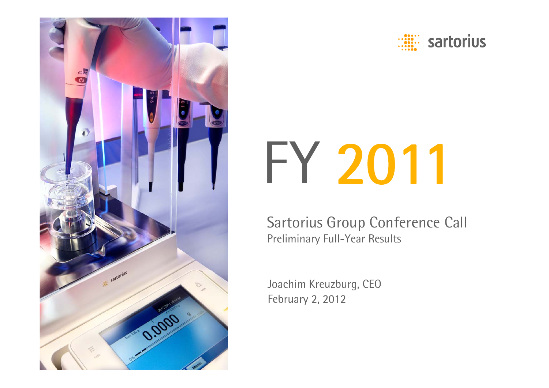



# FY 2011

Sartorius Group Conference Call Preliminary Full-Year Results

Joachim Kreuzburg, CEO February 2, 2012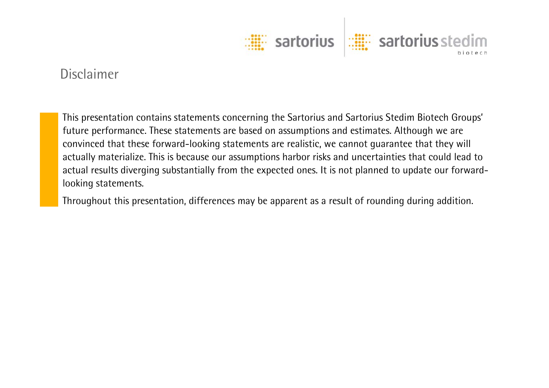

#### Disclaimer

This presentation contains statements concerning the Sartorius and Sartorius Stedim Biotech Groups' future performance. These statements are based on assumptions and estimates. Although we are convinced that these forward-looking statements are realistic, we cannot guarantee that they will actually materialize. This is because our assumptions harbor risks and uncertainties that could lead to actual results diverging substantially from the expected ones. It is not planned to update our forwardlooking statements.

Throughout this presentation, differences may be apparent as a result of rounding during addition.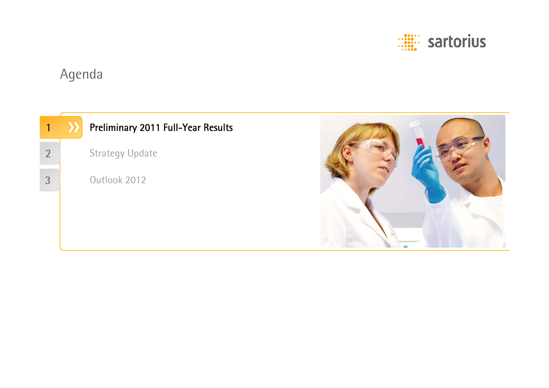

# Agenda

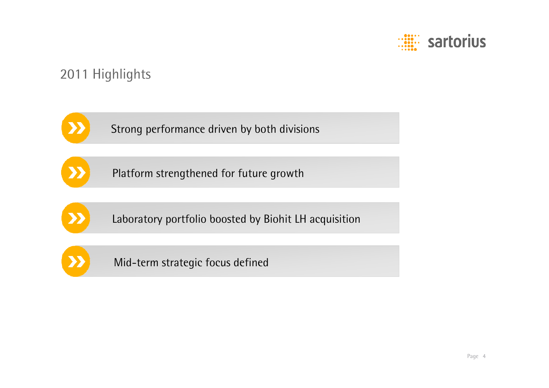

#### 2011 Highlights

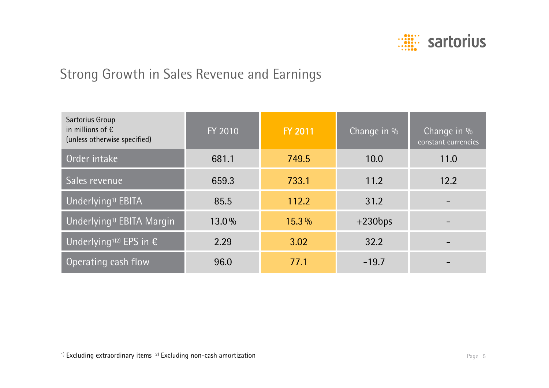

#### Strong Growth in Sales Revenue and Earnings

| Sartorius Group<br>in millions of $\epsilon$<br>(unless otherwise specified) | FY 2010 | FY 2011  | Change in $\%$ | Change in $%$<br>constant currencies |
|------------------------------------------------------------------------------|---------|----------|----------------|--------------------------------------|
| Order intake                                                                 | 681.1   | 749.5    | 10.0           | 11.0                                 |
| Sales revenue                                                                | 659.3   | 733.1    | 11.2           | 12.2                                 |
| Underlying <sup>1)</sup> EBITA                                               | 85.5    | 112.2    | 31.2           |                                      |
| Underlying <sup>1)</sup> EBITA Margin                                        | 13.0%   | $15.3\%$ | $+230bps$      |                                      |
| Underlying <sup>1)2)</sup> EPS in $\epsilon$                                 | 2.29    | 3.02     | 32.2           |                                      |
| Operating cash flow                                                          | 96.0    | 77.1     | $-19.7$        |                                      |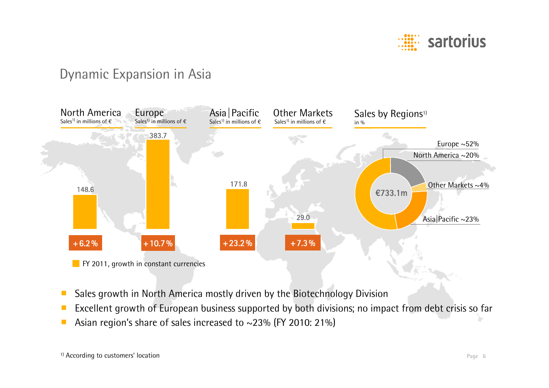

#### Dynamic Expansion in Asia



- ■Sales growth in North America mostly driven by the Biotechnology Division
- ■Excellent growth of European business supported by both divisions; no impact from debt crisis so far
- Asian region's share of sales increased to ~23% (FY 2010: 21%)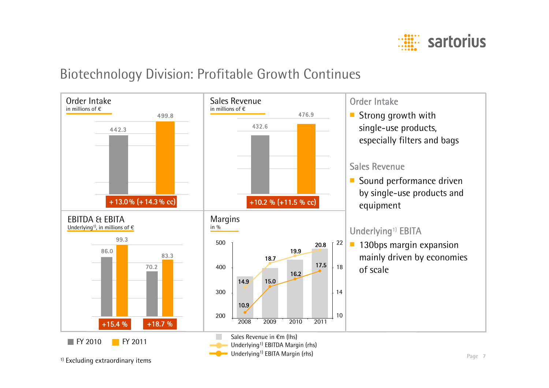

#### Biotechnology Division: Profitable Growth Continues

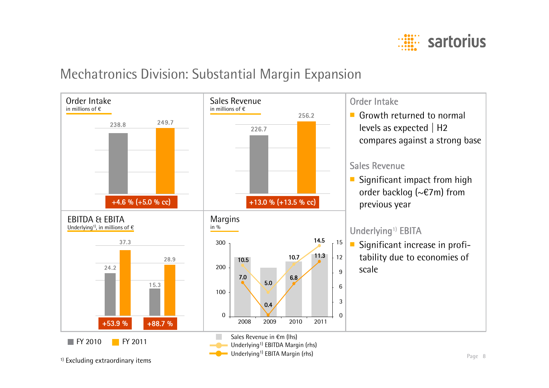

#### Mechatronics Division: Substantial Margin Expansion



<sup>1)</sup> Excluding extraordinary items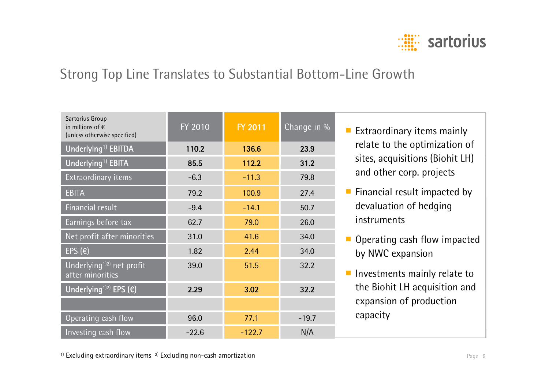

#### Strong Top Line Translates to Substantial Bottom-Line Growth

| Sartorius Group<br>in millions of $\epsilon$<br>(unless otherwise specified) | FY 2010 | FY 2011  | Change in % |
|------------------------------------------------------------------------------|---------|----------|-------------|
| Underlying <sup>1)</sup> EBITDA                                              | 110.2   | 136.6    | 23.9        |
| Underlying <sup>1)</sup> EBITA                                               | 85.5    | 112.2    | 31.2        |
| Extraordinary items                                                          | $-6.3$  | $-11.3$  | 79.8        |
| <b>EBITA</b>                                                                 | 79.2    | 100.9    | 27.4        |
| <b>Financial result</b>                                                      | $-9.4$  | $-14.1$  | 50.7        |
| Earnings before tax                                                          | 62.7    | 79.0     | 26.0        |
| Net profit after minorities                                                  | 31.0    | 41.6     | 34.0        |
| EPS $(\epsilon)$                                                             | 1.82    | 2.44     | 34.0        |
| Underlying <sup>1)2)</sup> net profit<br>after minorities                    | 39.0    | 51.5     | 32.2        |
| Underlying <sup>1)2)</sup> EPS $(\epsilon)$                                  | 2.29    | 3.02     | 32.2        |
|                                                                              |         |          |             |
| Operating cash flow                                                          | 96.0    | 77.1     | $-19.7$     |
| Investing cash flow                                                          | $-22.6$ | $-122.7$ | N/A         |

- Extraordinary items mainly relate to the optimization of sites, acquisitions (Biohit LH) and other corp. projects
- Financial result impacted by devaluation of hedging instruments
- Operating cash flow impacted by NWC expansion
- Investments mainly relate to the Biohit LH acquisition and expansion of production capacity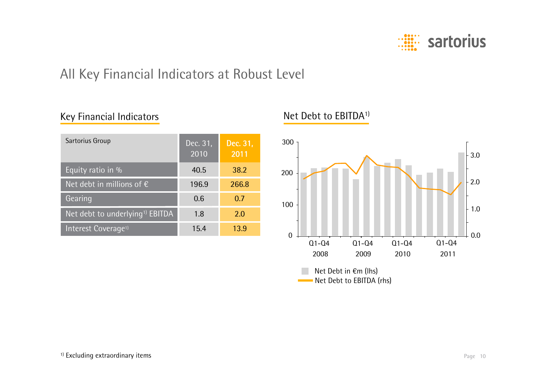

### All Key Financial Indicators at Robust Level

#### Key Financial Indicators

| Sartorius Group                             | Dec. 31,<br>2010 | Dec. 31,<br>2011 |
|---------------------------------------------|------------------|------------------|
| Equity ratio in %                           | 40.5             | 38.2             |
| Net debt in millions of $\epsilon$          | 196.9            | 266.8            |
| Gearing                                     | 0.6              | 0.7              |
| Net debt to underlying <sup>1)</sup> EBITDA | 1.8              | 2.0              |
| Interest Coverage <sup>1)</sup>             | 15.4             | 13.9             |

#### Net Debt to EBITDA1)

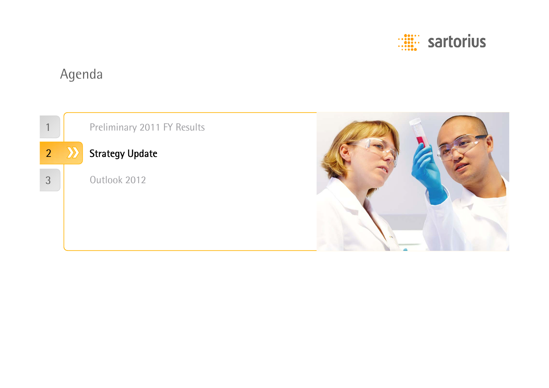

# Agenda

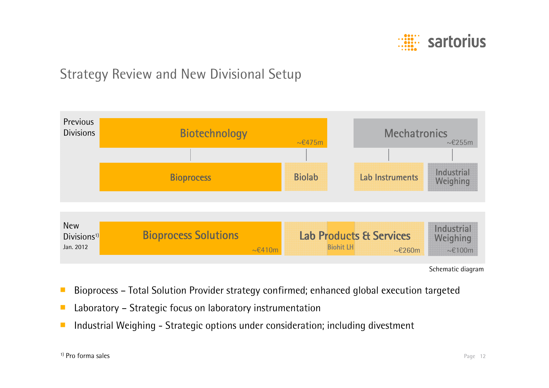

#### Strategy Review and New Divisional Setup



Schematic diagram

- ■Bioprocess – Total Solution Provider strategy confirmed; enhanced global execution targeted
- ■Laboratory – Strategic focus on laboratory instrumentation
- ■Industrial Weighing - Strategic options under consideration; including divestment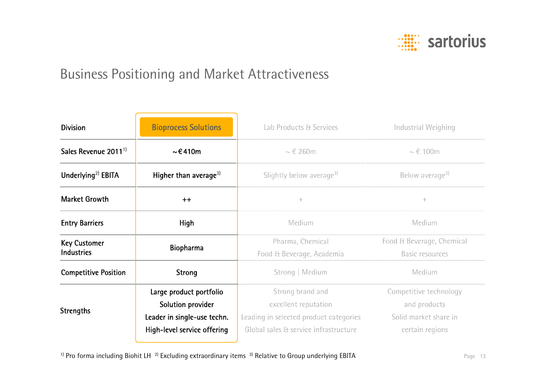

#### Business Positioning and Market Attractiveness

| <b>Division</b>                          | <b>Bioprocess Solutions</b>                                                                                | Lab Products & Services                                                                                                     | Industrial Weighing                                                                |  |
|------------------------------------------|------------------------------------------------------------------------------------------------------------|-----------------------------------------------------------------------------------------------------------------------------|------------------------------------------------------------------------------------|--|
| Sales Revenue 2011 <sup>1</sup>          | $\sim$ €410m                                                                                               | $\sim \epsilon$ 260m                                                                                                        | $\sim \epsilon$ 100m                                                               |  |
| Underlying <sup>2)</sup> EBITA           | Higher than average <sup>3)</sup>                                                                          | Slightly below average <sup>3)</sup>                                                                                        | Below average <sup>3)</sup>                                                        |  |
| <b>Market Growth</b>                     | $++$                                                                                                       | $-\frac{1}{2}m$                                                                                                             | ÷                                                                                  |  |
| <b>Entry Barriers</b>                    | <b>High</b>                                                                                                | Medium                                                                                                                      | Medium                                                                             |  |
| <b>Key Customer</b><br><b>Industries</b> | <b>Biopharma</b>                                                                                           | Pharma, Chemical<br>Food & Beverage, Academia                                                                               | Food & Beverage, Chemical<br>Basic resources                                       |  |
| <b>Competitive Position</b>              | <b>Strong</b>                                                                                              | Strong   Medium                                                                                                             | Medium                                                                             |  |
| <b>Strengths</b>                         | Large product portfolio<br>Solution provider<br>Leader in single-use techn.<br>High-level service offering | Strong brand and<br>excellent reputation<br>Leading in selected product categories<br>Global sales & service infrastructure | Competitive technology<br>and products<br>Solid market share in<br>certain regions |  |
|                                          |                                                                                                            |                                                                                                                             |                                                                                    |  |

<sup>1)</sup> Pro forma including Biohit LH<sup>2)</sup> Excluding extraordinary items<sup>3)</sup> Relative to Group underlying EBITA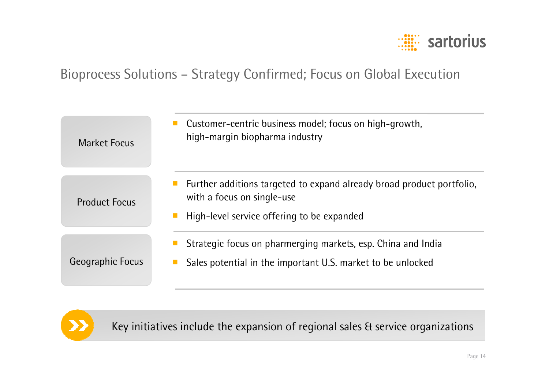

#### Bioprocess Solutions – Strategy Confirmed; Focus on Global Execution

| <b>Market Focus</b>  | Customer-centric business model; focus on high-growth,<br>high-margin biopharma industry                                                          |
|----------------------|---------------------------------------------------------------------------------------------------------------------------------------------------|
| <b>Product Focus</b> | Further additions targeted to expand already broad product portfolio.<br>with a focus on single-use<br>High-level service offering to be expanded |
| Geographic Focus     | Strategic focus on pharmerging markets, esp. China and India<br>Sales potential in the important U.S. market to be unlocked                       |



Key initiatives include the expansion of regional sales & service organizations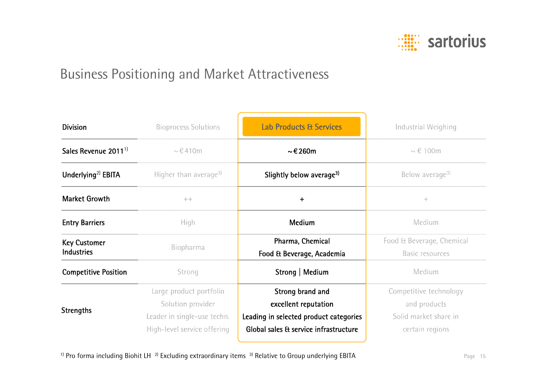

#### Business Positioning and Market Attractiveness

| <b>Division</b>                          | <b>Bioprocess Solutions</b>                                                                                | <b>Lab Products &amp; Services</b>                                                                                          | Industrial Weighing                                                                |
|------------------------------------------|------------------------------------------------------------------------------------------------------------|-----------------------------------------------------------------------------------------------------------------------------|------------------------------------------------------------------------------------|
| Sales Revenue 2011 <sup>1</sup>          | $\sim$ $\in$ 410m                                                                                          | $\sim$ € 260m                                                                                                               | $\sim \epsilon$ 100m                                                               |
| Underlying <sup>2)</sup> EBITA           | Higher than average <sup>3)</sup>                                                                          | Slightly below average <sup>3)</sup>                                                                                        | Below average <sup>3)</sup>                                                        |
| <b>Market Growth</b>                     | $-\frac{1}{2} \alpha - \frac{1}{2} \alpha$                                                                 | $\ddot{}$                                                                                                                   | $-\frac{5}{2} -$                                                                   |
| <b>Entry Barriers</b>                    | <b>High</b>                                                                                                | <b>Medium</b>                                                                                                               | Medium                                                                             |
| <b>Key Customer</b><br><b>Industries</b> | Biopharma                                                                                                  | Pharma, Chemical<br>Food & Beverage, Academia                                                                               | Food & Beverage, Chemical<br><b>Basic resources</b>                                |
| <b>Competitive Position</b>              | Strong                                                                                                     | Strong   Medium                                                                                                             | Medium                                                                             |
| <b>Strengths</b>                         | Large product portfolio<br>Solution provider<br>Leader in single-use techn.<br>High-level service offering | Strong brand and<br>excellent reputation<br>Leading in selected product categories<br>Global sales & service infrastructure | Competitive technology<br>and products<br>Solid market share in<br>certain regions |

<sup>1)</sup> Pro forma including Biohit LH<sup>2)</sup> Excluding extraordinary items<sup>3)</sup> Relative to Group underlying EBITA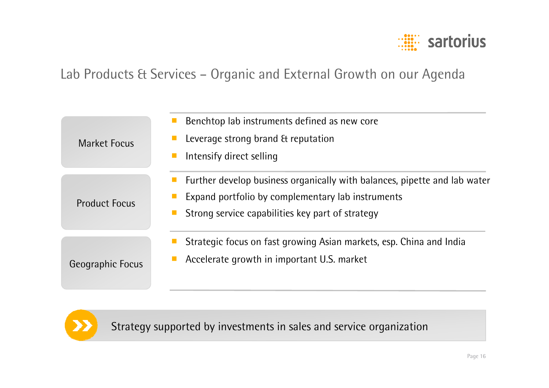

#### Lab Products & Services – Organic and External Growth on our Agenda

| <b>Market Focus</b>  | Benchtop lab instruments defined as new core<br>Leverage strong brand & reputation<br>Intensify direct selling                                                                     |
|----------------------|------------------------------------------------------------------------------------------------------------------------------------------------------------------------------------|
| <b>Product Focus</b> | Further develop business organically with balances, pipette and lab water<br>Expand portfolio by complementary lab instruments<br>Strong service capabilities key part of strategy |
| Geographic Focus     | Strategic focus on fast growing Asian markets, esp. China and India<br>Accelerate growth in important U.S. market                                                                  |



Strategy supported by investments in sales and service organization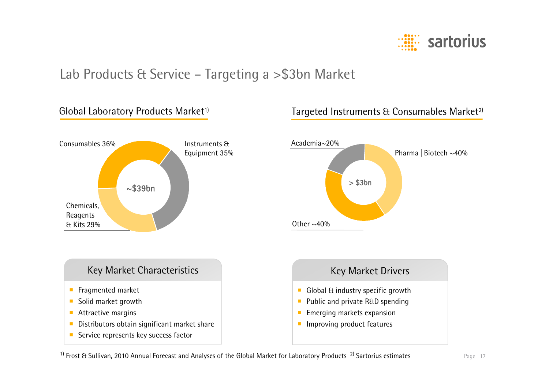

#### Lab Products & Service – Targeting a >\$3bn Market



#### Global Laboratory Products Market<sup>1)</sup> Targeted Instruments & Consumables Market<sup>2)</sup>



 $1)$  Frost & Sullivan, 2010 Annual Forecast and Analyses of the Global Market for Laboratory Products  $2)$  Sartorius estimates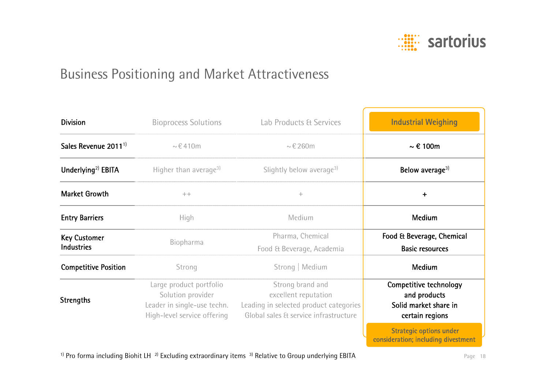

#### Business Positioning and Market Attractiveness

| <b>Division</b>                          | <b>Bioprocess Solutions</b>                                                                                | Lab Products & Services                                                                                                     | <b>Industrial Weighing</b>                                                         |
|------------------------------------------|------------------------------------------------------------------------------------------------------------|-----------------------------------------------------------------------------------------------------------------------------|------------------------------------------------------------------------------------|
| Sales Revenue 2011 <sup>1</sup>          | $\sim \epsilon$ 410m                                                                                       | $\sim \epsilon 260$ m                                                                                                       | $\sim \epsilon$ 100m                                                               |
| Underlying <sup>2)</sup> EBITA           | Higher than average <sup>3)</sup>                                                                          | Slightly below average <sup>3)</sup>                                                                                        | Below average <sup>3)</sup>                                                        |
| <b>Market Growth</b>                     | $+ +$                                                                                                      | ÷                                                                                                                           | +                                                                                  |
| <b>Entry Barriers</b>                    | <b>High</b>                                                                                                | Medium                                                                                                                      | <b>Medium</b>                                                                      |
| <b>Key Customer</b><br><b>Industries</b> | Biopharma                                                                                                  | Pharma, Chemical<br>Food & Beverage, Academia                                                                               | Food & Beverage, Chemical<br><b>Basic resources</b>                                |
| <b>Competitive Position</b>              | Strong                                                                                                     | Strong   Medium                                                                                                             | Medium                                                                             |
| <b>Strengths</b>                         | Large product portfolio<br>Solution provider<br>Leader in single-use techn.<br>High-level service offering | Strong brand and<br>excellent reputation<br>Leading in selected product categories<br>Global sales & service infrastructure | Competitive technology<br>and products<br>Solid market share in<br>certain regions |

Strategic options under consideration; including divestment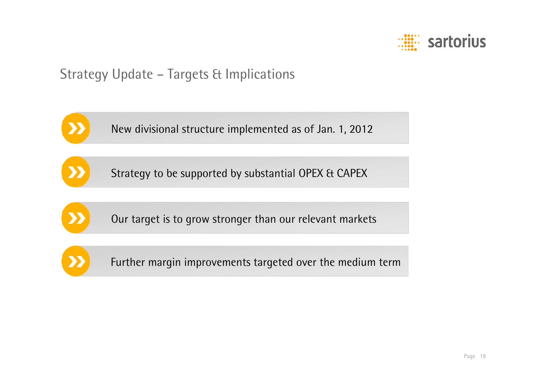

#### Strategy Update – Targets & Implications



New divisional structure implemented as of Jan. 1, 2012





Our target is to grow stronger than our relevant markets



Further margin improvements targeted over the medium term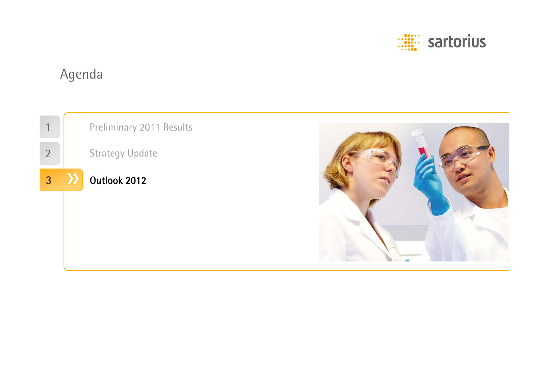

# Agenda

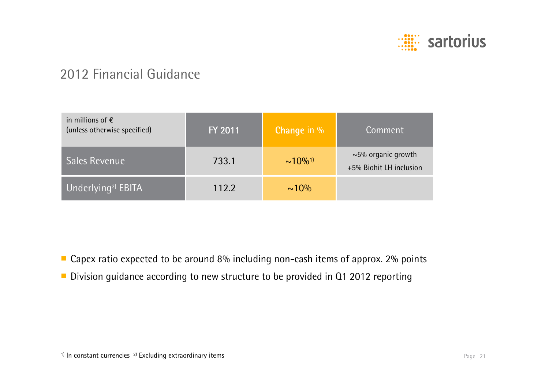

#### 2012 Financial Guidance

| in millions of $\epsilon$<br>(unless otherwise specified) | FY 2011 | <b>Change in %</b>        | Comment                                             |
|-----------------------------------------------------------|---------|---------------------------|-----------------------------------------------------|
| <b>Sales Revenue</b>                                      | 733.1   | $\sim 10\%$ <sup>1)</sup> | $\sim$ 5% organic growth<br>+5% Biohit LH inclusion |
| Underlying <sup>2)</sup> EBITA                            | 112.2   | $\sim 10\%$               |                                                     |

- Capex ratio expected to be around 8% including non-cash items of approx. 2% points
- Division guidance according to new structure to be provided in Q1 2012 reporting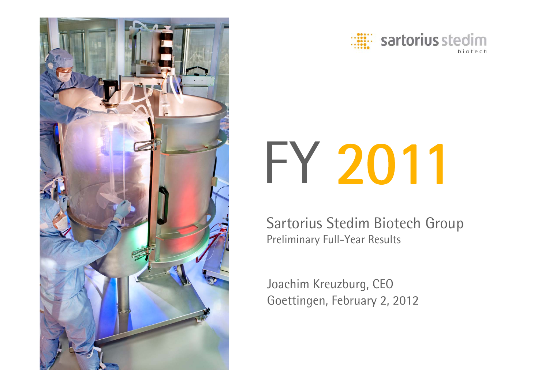



# FY 2011

Sartorius Stedim Biotech Group Preliminary Full-Year Results

Joachim Kreuzburg, CEO Goettingen, February 2, 2012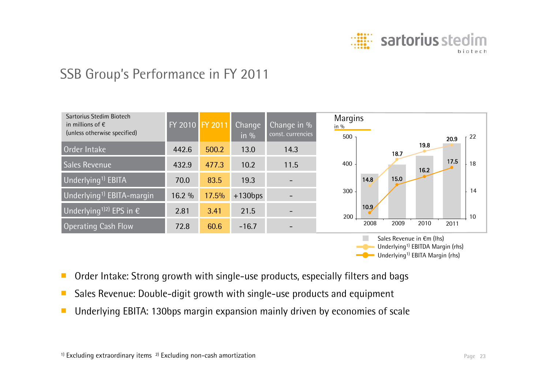

#### SSB Group's Performance in FY 2011



- ■Order Intake: Strong growth with single-use products, especially filters and bags
- ■Sales Revenue: Double-digit growth with single-use products and equipment
- ■Underlying EBITA: 130bps margin expansion mainly driven by economies of scale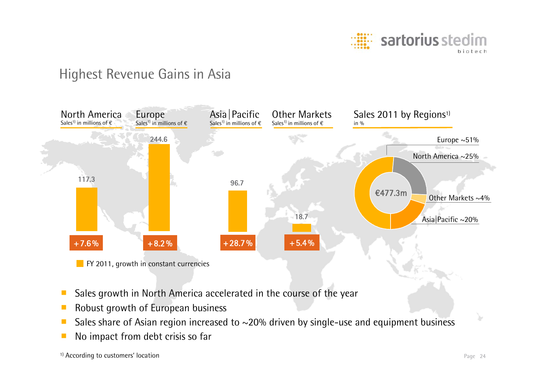

#### Highest Revenue Gains in Asia



- ■Sales growth in North America accelerated in the course of the year
- ■Robust growth of European business
- ■Sales share of Asian region increased to ~20% driven by single-use and equipment business
- ■No impact from debt crisis so far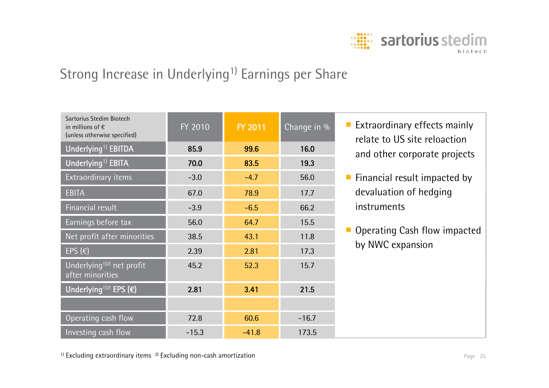

# Strong Increase in Underlying<sup>1)</sup> Earnings per Share

| Sartorius Stedim Biotech<br>in millions of $\epsilon$<br>(unless otherwise specified) | FY 2010 | FY 2011 | Change in % | <b>Extraordinary effects mainly</b><br>relate to US site reloaction |
|---------------------------------------------------------------------------------------|---------|---------|-------------|---------------------------------------------------------------------|
| Underlying <sup>1)</sup> EBITDA                                                       | 85.9    | 99.6    | 16.0        | and other corporate projects                                        |
| Underlying <sup>1)</sup> EBITA                                                        | 70.0    | 83.5    | 19.3        |                                                                     |
| Extraordinary items                                                                   | $-3.0$  | $-4.7$  | 56.0        | $\blacksquare$ Financial result impacted by                         |
| <b>EBITA</b>                                                                          | 67.0    | 78.9    | 17.7        | devaluation of hedging                                              |
| Financial result                                                                      | $-3.9$  | $-6.5$  | 66.2        | instruments                                                         |
| Earnings before tax                                                                   | 56.0    | 64.7    | 15.5        |                                                                     |
| Net profit after minorities                                                           | 38.5    | 43.1    | 11.8        | Operating Cash flow impacted                                        |
| EPS $(\epsilon)$                                                                      | 2.39    | 2.81    | 17.3        | by NWC expansion                                                    |
| Underlying <sup>1)2)</sup> net profit<br>after minorities                             | 45.2    | 52.3    | 15.7        |                                                                     |
| Underlying <sup>1)2)</sup> EPS $(\epsilon)$                                           | 2.81    | 3.41    | 21.5        |                                                                     |
|                                                                                       |         |         |             |                                                                     |
| Operating cash flow                                                                   | 72.8    | 60.6    | $-16.7$     |                                                                     |
| Investing cash flow                                                                   | $-15.3$ | $-41.8$ | 173.5       |                                                                     |

 $1)$  Excluding extraordinary items  $2)$  Excluding non-cash amortization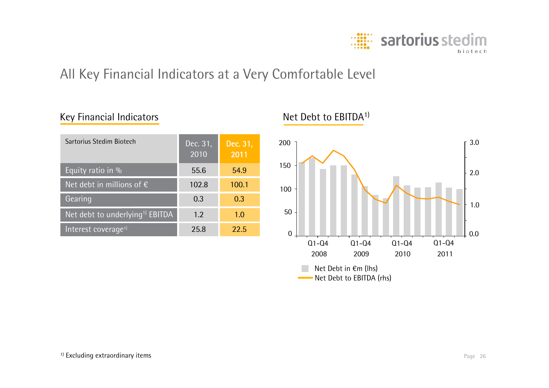

#### All Key Financial Indicators at a Very Comfortable Level

#### Gearing **0.3** 0.3 0.3 Net debt to underlying<sup>1)</sup> EBITDA  $\begin{array}{|c|c|c|c|c|c|c|c|c|} \hline \end{array}$  1.0 Interest coverage<sup>1)</sup> 25.8 22.5 Equity ratio in % 55.6 54.9 Net debt in millions of € 102.8 100.1 Dec. 31, 2011 Dec. 31, 2010 Sartorius Stedim Biotech

#### Net Debt to EBITDA1)



Key Financial Indicators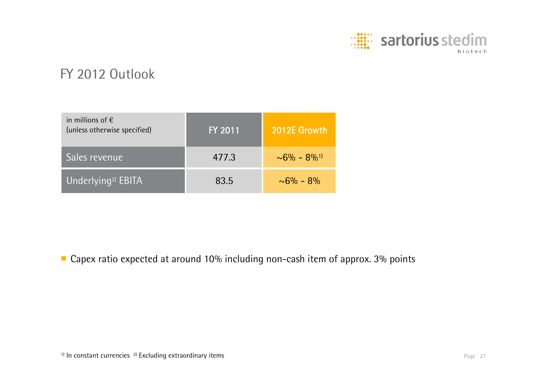

#### FY 2012 Outlook

| in millions of $\epsilon$<br>(unless otherwise specified) | FY 2011 | 2012E Growth                   |
|-----------------------------------------------------------|---------|--------------------------------|
| Sales revenue                                             | 477.3   | $\sim 6\% - 8\%$ <sup>1)</sup> |
| Underlying <sup>2)</sup> EBITA                            | 83.5    | $\sim 6\% - 8\%$               |

■ Capex ratio expected at around 10% including non-cash item of approx. 3% points